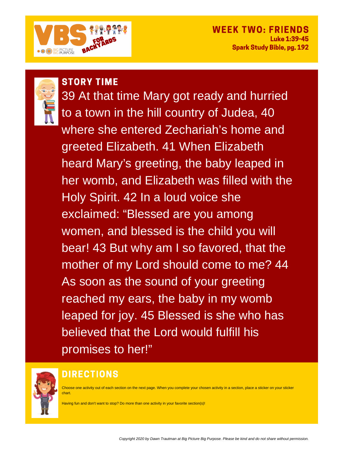

# WFFK TWO: FRIF

**Luke 1:39-45 Spark Study Bible, pg. 192** 



**STORY TIME** 39 At that time Mary got ready and hurried to a town in the hill country of Judea, 40 where she entered Zechariah's home and greeted Elizabeth. 41 When Elizabeth heard Mary's greeting, the baby leaped in her womb, and Elizabeth was filled with the Holy Spirit. 42 In a loud voice she exclaimed: "Blessed are you among women, and blessed is the child you will bear! 43 But why am I so favored, that the mother of my Lord should come to me? 44 As soon as the sound of your greeting reached my ears, the baby in my womb leaped for joy. 45 Blessed is she who has believed that the Lord would fulfill his promises to her!"



## **DIRECTIONS**

Choose one activity out of each section on the next page. When you complete your chosen activity in a section, place a sticker on your sticker chart.

Having fun and don't want to stop? Do more than one activity in your favorite section(s)!

Copyright 2020 by Dawn Trautman at Big Picture Big Purpose. Please be kind and do not share without permission.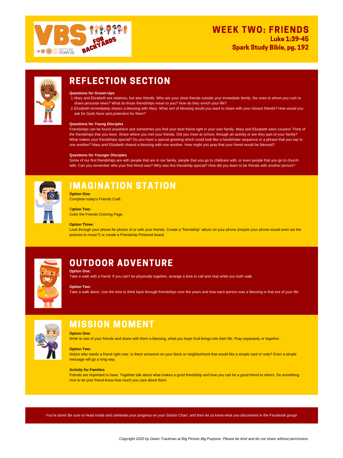

### **WEEK TWO: FRIENDS Luke 1:39-45**

**Spark Study Bible, pg. 192** 



### **REFLECTION SECTION**

- Mary and Elizabeth are relatives, but also friends. Who are your close friends outside your immediate family, the ones to whom you rush to 1. share personal news? What do those friendships mean to you? How do they enrich your life?
- Elizabeth immediately shares a blessing with Mary. What sort of blessing would you want to share with your closest friends? How would you 2. ask for Gods favor and protection for them?

### **Questions for Grown-Ups**

### **Questions for Young Disciples**

Friendships can be found anywhere and sometimes you find your best friend right in your own family. Mary and Elizabeth were cousins! Think of the friendships that you have. Share where you met your friends. Did you meet at school, through an activity or are they part of your family? What makes your friendships special? Do you have a special greeting which could look like a handshake sequence or a phrase that you say to one another? Mary and Elizabeth shared a blessing with one another. How might you pray that your friend would be blessed?

Notice who needs a friend right now. Is there someone on your block or neighborhood that would like a simple card or note? Even a simple message will go a long way.

### **Questions for Younger Disciples**

Some of our first friendships are with people that are in our family, people that you go to childcare with, or even people that you go to church with. Can you remember who your first friend was? Why was this friendship special? How did you learn to be friends with another person?



# **IMAGINATION STATION**

#### **Option One:**

Take a walk with a friend. If you can't be physically together, arrange a time to call and chat while you both walk.

### **Option Two:**

Take a walk alone. Use the time to think back through friendships over the years and how each person was a blessing in that era of your life.



# **MISSION MOMENT**

### **Option One:**

Write to one of your friends and share with them a blessing, what you hope God brings into their life. Pray separately or together.

### **Option Two:**

### **Activity for Families**

Friends are important to have. Together talk about what makes a good friendship and how you can be a good friend to others. Do something nice to let your friend know how much you care about them.

**Option One:** Complete today's Friends Craft.

O**ption Two:** Color the Friends Coloring Page.

### **Option Three:**

Look through your phone for photos of or with your friends. Create a "friendship" album on your phone (maybe your phone would even set the pictures to music?) or create a Friendship Pinterest board.



# **OUTDOOR ADVENTURE**

You're done! Be sure to head inside and celebrate your progress on your Sticker Chart, and then let us know what you discovered in the Facebook group!

Copyright 2020 by Dawn Trautman at Big Picture Big Purpose. Please be kind and do not share without permission.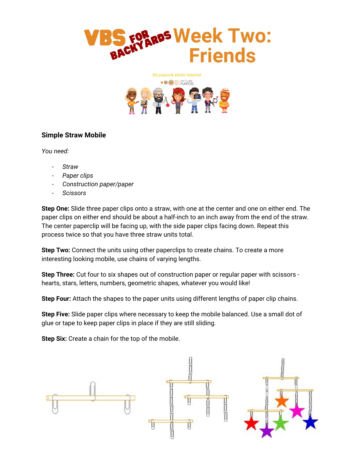



#### Simple Straw Mobile

You need:

- **Straw**
- Paper clips
- Construction paper/paper
- Scissors

Step One: Slide three paper clips onto a straw, with one at the center and one on either end. The paper clips on either end should be about a half-inch to an inch away from the end of the straw. The center paperclip will be facing up, with the side paper clips facing down. Repeat this process twice so that you have three straw units total.

**Step Two:** Connect the units using other paperclips to create chains. To create a more interesting looking mobile, use chains of varying lengths.

Step Three: Cut four to six shapes out of construction paper or regular paper with scissors hearts, stars, letters, numbers, geometric shapes, whatever you would like!

Step Four: Attach the shapes to the paper units using different lengths of paper clip chains.

Step Five: Slide paper clips where necessary to keep the mobile balanced. Use a small dot of glue or tape to keep paper clips in place if they are still sliding.

Step Six: Create a chain for the top of the mobile.